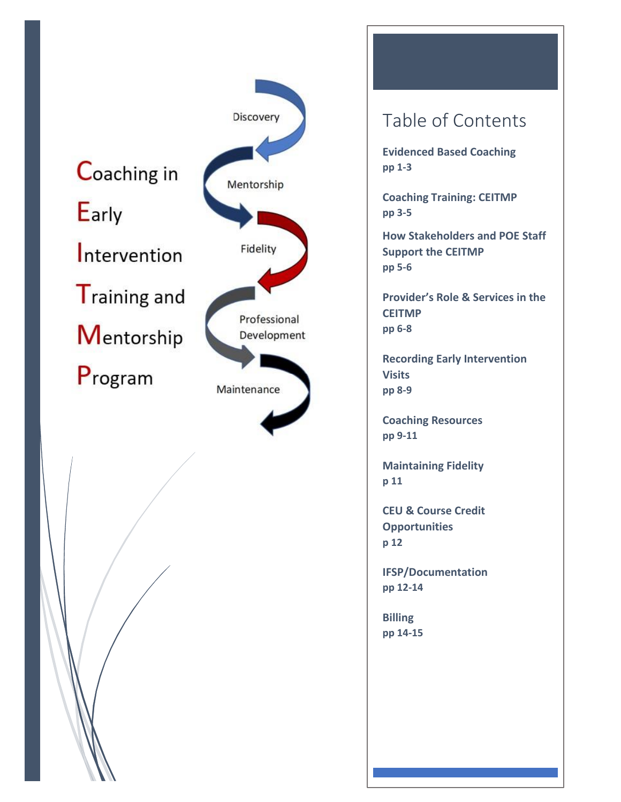



# Table of Contents

**Evidenced Based Coaching pp 1-3**

**Coaching Training: CEITMP pp 3-5**

**How Stakeholders and POE Staff Support the CEITMP pp 5-6**

**Provider's Role & Services in the CEITMP pp 6-8**

**Recording Early Intervention Visits pp 8-9**

**Coaching Resources pp 9-11**

**Maintaining Fidelity p 11**

**CEU & Course Credit Opportunities p 12**

**IFSP/Documentation pp 12-14**

**Billing pp 14-15**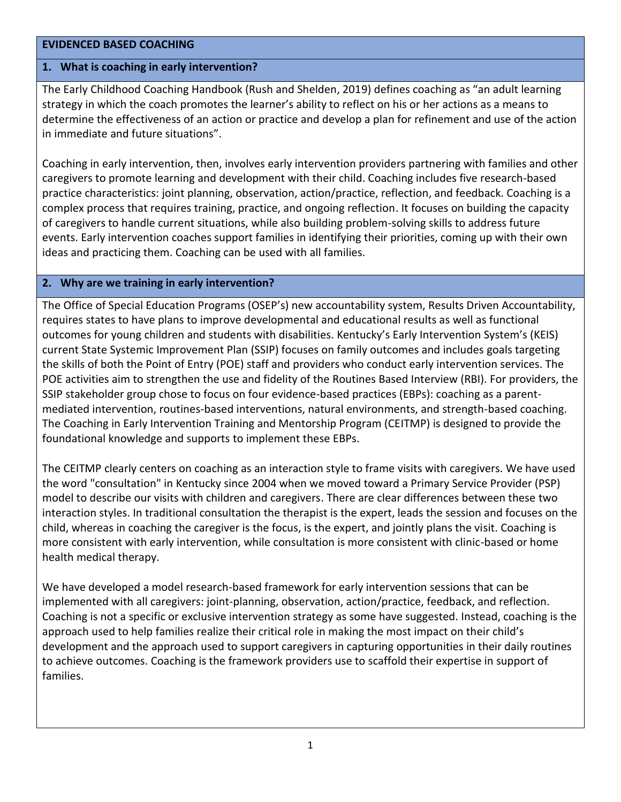#### **EVIDENCED BASED COACHING**

#### **1. What is coaching in early intervention?**

The Early Childhood Coaching Handbook (Rush and Shelden, 2019) defines coaching as "an adult learning strategy in which the coach promotes the learner's ability to reflect on his or her actions as a means to determine the effectiveness of an action or practice and develop a plan for refinement and use of the action in immediate and future situations".

Coaching in early intervention, then, involves early intervention providers partnering with families and other caregivers to promote learning and development with their child. Coaching includes five research-based practice characteristics: joint planning, observation, action/practice, reflection, and feedback. Coaching is a complex process that requires training, practice, and ongoing reflection. It focuses on building the capacity of caregivers to handle current situations, while also building problem-solving skills to address future events. Early intervention coaches support families in identifying their priorities, coming up with their own ideas and practicing them. Coaching can be used with all families.

#### **2. Why are we training in early intervention?**

The Office of Special Education Programs (OSEP's) new accountability system, Results Driven Accountability, requires states to have plans to improve developmental and educational results as well as functional outcomes for young children and students with disabilities. Kentucky's Early Intervention System's (KEIS) current State Systemic Improvement Plan (SSIP) focuses on family outcomes and includes goals targeting the skills of both the Point of Entry (POE) staff and providers who conduct early intervention services. The POE activities aim to strengthen the use and fidelity of the Routines Based Interview (RBI). For providers, the SSIP stakeholder group chose to focus on four evidence-based practices (EBPs): coaching as a parentmediated intervention, routines-based interventions, natural environments, and strength-based coaching. The Coaching in Early Intervention Training and Mentorship Program (CEITMP) is designed to provide the foundational knowledge and supports to implement these EBPs.

The CEITMP clearly centers on coaching as an interaction style to frame visits with caregivers. We have used the word "consultation" in Kentucky since 2004 when we moved toward a Primary Service Provider (PSP) model to describe our visits with children and caregivers. There are clear differences between these two interaction styles. In traditional consultation the therapist is the expert, leads the session and focuses on the child, whereas in coaching the caregiver is the focus, is the expert, and jointly plans the visit. Coaching is more consistent with early intervention, while consultation is more consistent with clinic-based or home health medical therapy.

We have developed a model research-based framework for early intervention sessions that can be implemented with all caregivers: joint-planning, observation, action/practice, feedback, and reflection. Coaching is not a specific or exclusive intervention strategy as some have suggested. Instead, coaching is the approach used to help families realize their critical role in making the most impact on their child's development and the approach used to support caregivers in capturing opportunities in their daily routines to achieve outcomes. Coaching is the framework providers use to scaffold their expertise in support of families.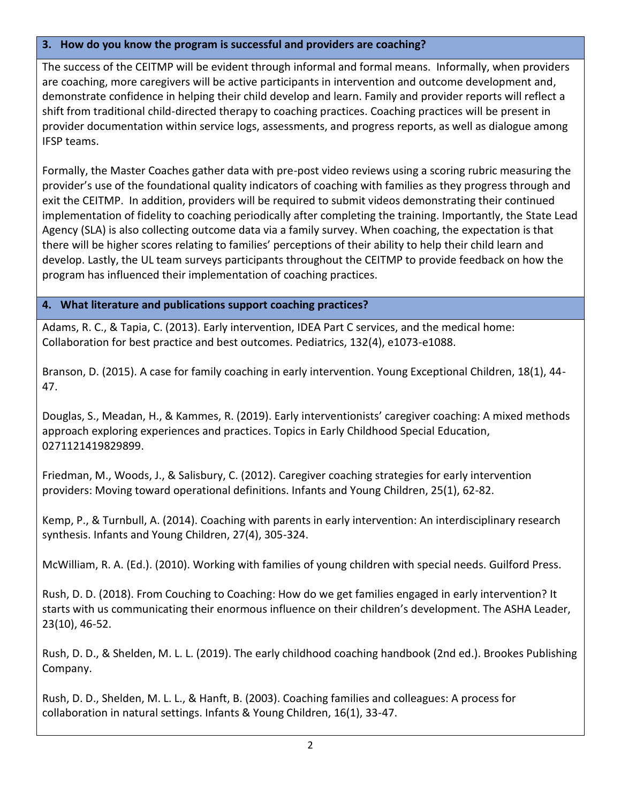# **3. How do you know the program is successful and providers are coaching?**

The success of the CEITMP will be evident through informal and formal means. Informally, when providers are coaching, more caregivers will be active participants in intervention and outcome development and, demonstrate confidence in helping their child develop and learn. Family and provider reports will reflect a shift from traditional child-directed therapy to coaching practices. Coaching practices will be present in provider documentation within service logs, assessments, and progress reports, as well as dialogue among IFSP teams.

Formally, the Master Coaches gather data with pre-post video reviews using a scoring rubric measuring the provider's use of the foundational quality indicators of coaching with families as they progress through and exit the CEITMP. In addition, providers will be required to submit videos demonstrating their continued implementation of fidelity to coaching periodically after completing the training. Importantly, the State Lead Agency (SLA) is also collecting outcome data via a family survey. When coaching, the expectation is that there will be higher scores relating to families' perceptions of their ability to help their child learn and develop. Lastly, the UL team surveys participants throughout the CEITMP to provide feedback on how the program has influenced their implementation of coaching practices.

## **4. What literature and publications support coaching practices?**

Adams, R. C., & Tapia, C. (2013). Early intervention, IDEA Part C services, and the medical home: Collaboration for best practice and best outcomes. Pediatrics, 132(4), e1073-e1088.

Branson, D. (2015). A case for family coaching in early intervention. Young Exceptional Children, 18(1), 44- 47.

Douglas, S., Meadan, H., & Kammes, R. (2019). Early interventionists' caregiver coaching: A mixed methods approach exploring experiences and practices. Topics in Early Childhood Special Education, 0271121419829899.

Friedman, M., Woods, J., & Salisbury, C. (2012). Caregiver coaching strategies for early intervention providers: Moving toward operational definitions. Infants and Young Children, 25(1), 62-82.

Kemp, P., & Turnbull, A. (2014). Coaching with parents in early intervention: An interdisciplinary research synthesis. Infants and Young Children, 27(4), 305-324.

McWilliam, R. A. (Ed.). (2010). Working with families of young children with special needs. Guilford Press.

Rush, D. D. (2018). From Couching to Coaching: How do we get families engaged in early intervention? It starts with us communicating their enormous influence on their children's development. The ASHA Leader, 23(10), 46-52.

Rush, D. D., & Shelden, M. L. L. (2019). The early childhood coaching handbook (2nd ed.). Brookes Publishing Company.

Rush, D. D., Shelden, M. L. L., & Hanft, B. (2003). Coaching families and colleagues: A process for collaboration in natural settings. Infants & Young Children, 16(1), 33-47.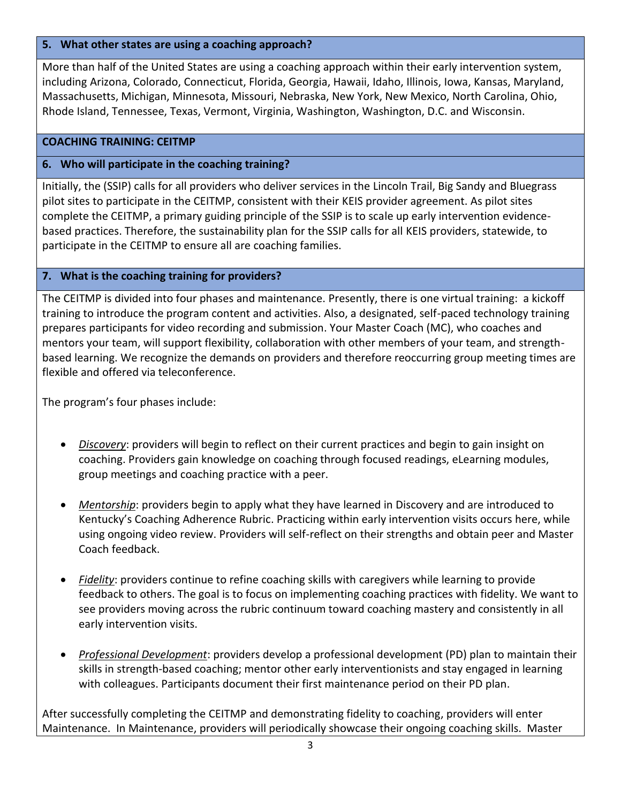### **5. What other states are using a coaching approach?**

More than half of the United States are using a coaching approach within their early intervention system, including Arizona, Colorado, Connecticut, Florida, Georgia, Hawaii, Idaho, Illinois, Iowa, Kansas, Maryland, Massachusetts, Michigan, Minnesota, Missouri, Nebraska, New York, New Mexico, North Carolina, Ohio, Rhode Island, Tennessee, Texas, Vermont, Virginia, Washington, Washington, D.C. and Wisconsin.

#### **COACHING TRAINING: CEITMP**

## **6. Who will participate in the coaching training?**

Initially, the (SSIP) calls for all providers who deliver services in the Lincoln Trail, Big Sandy and Bluegrass pilot sites to participate in the CEITMP, consistent with their KEIS provider agreement. As pilot sites complete the CEITMP, a primary guiding principle of the SSIP is to scale up early intervention evidencebased practices. Therefore, the sustainability plan for the SSIP calls for all KEIS providers, statewide, to participate in the CEITMP to ensure all are coaching families.

#### **7. What is the coaching training for providers?**

The CEITMP is divided into four phases and maintenance. Presently, there is one virtual training: a kickoff training to introduce the program content and activities. Also, a designated, self-paced technology training prepares participants for video recording and submission. Your Master Coach (MC), who coaches and mentors your team, will support flexibility, collaboration with other members of your team, and strengthbased learning. We recognize the demands on providers and therefore reoccurring group meeting times are flexible and offered via teleconference.

The program's four phases include:

- *Discovery*: providers will begin to reflect on their current practices and begin to gain insight on coaching. Providers gain knowledge on coaching through focused readings, eLearning modules, group meetings and coaching practice with a peer.
- *Mentorship*: providers begin to apply what they have learned in Discovery and are introduced to Kentucky's Coaching Adherence Rubric. Practicing within early intervention visits occurs here, while using ongoing video review. Providers will self-reflect on their strengths and obtain peer and Master Coach feedback.
- *Fidelity*: providers continue to refine coaching skills with caregivers while learning to provide feedback to others. The goal is to focus on implementing coaching practices with fidelity. We want to see providers moving across the rubric continuum toward coaching mastery and consistently in all early intervention visits.
- *Professional Development*: providers develop a professional development (PD) plan to maintain their skills in strength-based coaching; mentor other early interventionists and stay engaged in learning with colleagues. Participants document their first maintenance period on their PD plan.

After successfully completing the CEITMP and demonstrating fidelity to coaching, providers will enter Maintenance. In Maintenance, providers will periodically showcase their ongoing coaching skills. Master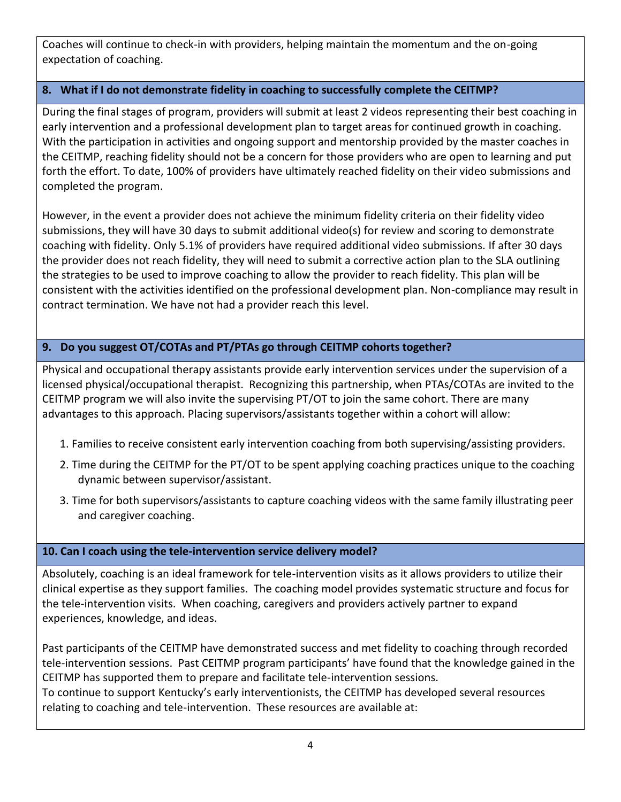Coaches will continue to check-in with providers, helping maintain the momentum and the on-going expectation of coaching.

# **8. What if I do not demonstrate fidelity in coaching to successfully complete the CEITMP?**

During the final stages of program, providers will submit at least 2 videos representing their best coaching in early intervention and a professional development plan to target areas for continued growth in coaching. With the participation in activities and ongoing support and mentorship provided by the master coaches in the CEITMP, reaching fidelity should not be a concern for those providers who are open to learning and put forth the effort. To date, 100% of providers have ultimately reached fidelity on their video submissions and completed the program.

However, in the event a provider does not achieve the minimum fidelity criteria on their fidelity video submissions, they will have 30 days to submit additional video(s) for review and scoring to demonstrate coaching with fidelity. Only 5.1% of providers have required additional video submissions. If after 30 days the provider does not reach fidelity, they will need to submit a corrective action plan to the SLA outlining the strategies to be used to improve coaching to allow the provider to reach fidelity. This plan will be consistent with the activities identified on the professional development plan. Non-compliance may result in contract termination. We have not had a provider reach this level.

# **9. Do you suggest OT/COTAs and PT/PTAs go through CEITMP cohorts together?**

Physical and occupational therapy assistants provide early intervention services under the supervision of a licensed physical/occupational therapist. Recognizing this partnership, when PTAs/COTAs are invited to the CEITMP program we will also invite the supervising PT/OT to join the same cohort. There are many advantages to this approach. Placing supervisors/assistants together within a cohort will allow:

- 1. Families to receive consistent early intervention coaching from both supervising/assisting providers.
- 2. Time during the CEITMP for the PT/OT to be spent applying coaching practices unique to the coaching dynamic between supervisor/assistant.
- 3. Time for both supervisors/assistants to capture coaching videos with the same family illustrating peer and caregiver coaching.

# **10. Can I coach using the tele-intervention service delivery model?**

Absolutely, coaching is an ideal framework for tele-intervention visits as it allows providers to utilize their clinical expertise as they support families. The coaching model provides systematic structure and focus for the tele-intervention visits. When coaching, caregivers and providers actively partner to expand experiences, knowledge, and ideas.

Past participants of the CEITMP have demonstrated success and met fidelity to coaching through recorded tele-intervention sessions. Past CEITMP program participants' have found that the knowledge gained in the CEITMP has supported them to prepare and facilitate tele-intervention sessions.

To continue to support Kentucky's early interventionists, the CEITMP has developed several resources relating to coaching and tele-intervention. These resources are available at: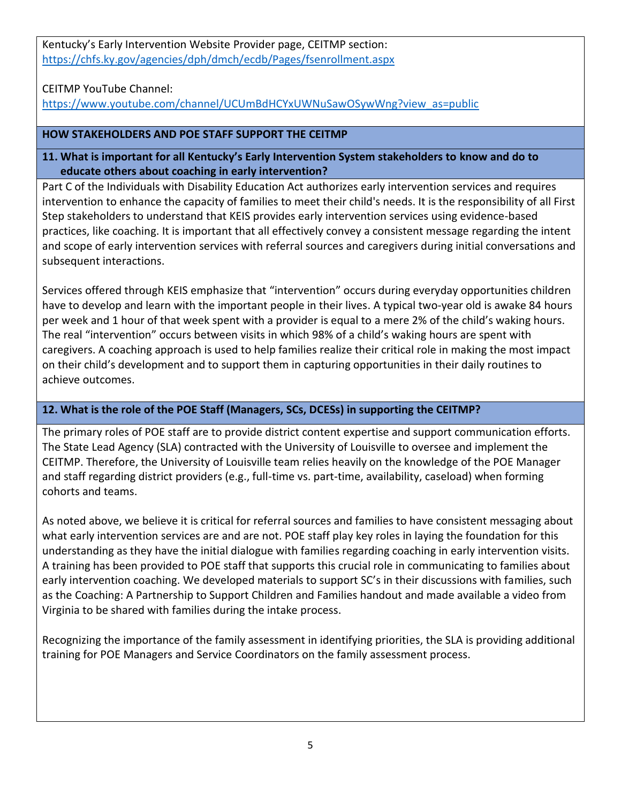Kentucky's Early Intervention Website Provider page, CEITMP section: <https://chfs.ky.gov/agencies/dph/dmch/ecdb/Pages/fsenrollment.aspx>

CEITMP YouTube Channel:

[https://www.youtube.com/channel/UCUmBdHCYxUWNuSawOSywWng?view\\_as=public](https://www.youtube.com/channel/UCUmBdHCYxUWNuSawOSywWng?view_as=public)

# **HOW STAKEHOLDERS AND POE STAFF SUPPORT THE CEITMP**

## **11. What is important for all Kentucky's Early Intervention System stakeholders to know and do to educate others about coaching in early intervention?**

Part C of the Individuals with Disability Education Act authorizes early intervention services and requires intervention to enhance the capacity of families to meet their child's needs. It is the responsibility of all First Step stakeholders to understand that KEIS provides early intervention services using evidence-based practices, like coaching. It is important that all effectively convey a consistent message regarding the intent and scope of early intervention services with referral sources and caregivers during initial conversations and subsequent interactions.

Services offered through KEIS emphasize that "intervention" occurs during everyday opportunities children have to develop and learn with the important people in their lives. A typical two-year old is awake 84 hours per week and 1 hour of that week spent with a provider is equal to a mere 2% of the child's waking hours. The real "intervention" occurs between visits in which 98% of a child's waking hours are spent with caregivers. A coaching approach is used to help families realize their critical role in making the most impact on their child's development and to support them in capturing opportunities in their daily routines to achieve outcomes.

# **12. What is the role of the POE Staff (Managers, SCs, DCESs) in supporting the CEITMP?**

The primary roles of POE staff are to provide district content expertise and support communication efforts. The State Lead Agency (SLA) contracted with the University of Louisville to oversee and implement the CEITMP. Therefore, the University of Louisville team relies heavily on the knowledge of the POE Manager and staff regarding district providers (e.g., full-time vs. part-time, availability, caseload) when forming cohorts and teams.

As noted above, we believe it is critical for referral sources and families to have consistent messaging about what early intervention services are and are not. POE staff play key roles in laying the foundation for this understanding as they have the initial dialogue with families regarding coaching in early intervention visits. A training has been provided to POE staff that supports this crucial role in communicating to families about early intervention coaching. We developed materials to support SC's in their discussions with families, such as the Coaching: A Partnership to Support Children and Families handout and made available a video from Virginia to be shared with families during the intake process.

Recognizing the importance of the family assessment in identifying priorities, the SLA is providing additional training for POE Managers and Service Coordinators on the family assessment process.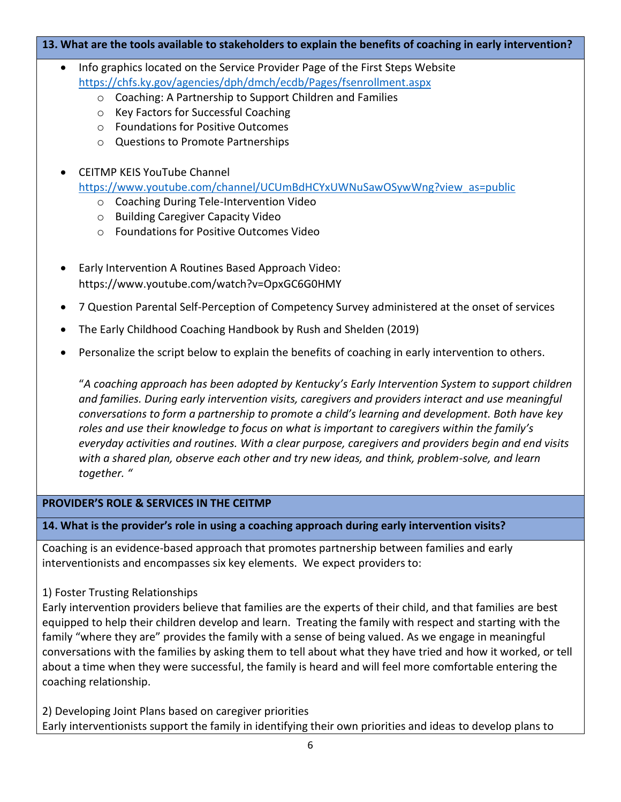#### **13. What are the tools available to stakeholders to explain the benefits of coaching in early intervention?**

- Info graphics located on the Service Provider Page of the First Steps Website <https://chfs.ky.gov/agencies/dph/dmch/ecdb/Pages/fsenrollment.aspx>
	- o Coaching: A Partnership to Support Children and Families
	- o Key Factors for Successful Coaching
	- o Foundations for Positive Outcomes
	- o Questions to Promote Partnerships

# • CEITMP KEIS YouTube Channel

[https://www.youtube.com/channel/UCUmBdHCYxUWNuSawOSywWng?view\\_as=public](https://www.youtube.com/channel/UCUmBdHCYxUWNuSawOSywWng?view_as=public)

- o Coaching During Tele-Intervention Video
- o Building Caregiver Capacity Video
- o Foundations for Positive Outcomes Video
- Early Intervention A Routines Based Approach Video: https://www.youtube.com/watch?v=OpxGC6G0HMY
- 7 Question Parental Self-Perception of Competency Survey administered at the onset of services
- The Early Childhood Coaching Handbook by Rush and Shelden (2019)
- Personalize the script below to explain the benefits of coaching in early intervention to others.

"*A coaching approach has been adopted by Kentucky's Early Intervention System to support children and families. During early intervention visits, caregivers and providers interact and use meaningful conversations to form a partnership to promote a child's learning and development. Both have key roles and use their knowledge to focus on what is important to caregivers within the family's everyday activities and routines. With a clear purpose, caregivers and providers begin and end visits with a shared plan, observe each other and try new ideas, and think, problem-solve, and learn together. "*

#### **PROVIDER'S ROLE & SERVICES IN THE CEITMP**

#### **14. What is the provider's role in using a coaching approach during early intervention visits?**

Coaching is an evidence-based approach that promotes partnership between families and early interventionists and encompasses six key elements. We expect providers to:

#### 1) Foster Trusting Relationships

Early intervention providers believe that families are the experts of their child, and that families are best equipped to help their children develop and learn. Treating the family with respect and starting with the family "where they are" provides the family with a sense of being valued. As we engage in meaningful conversations with the families by asking them to tell about what they have tried and how it worked, or tell about a time when they were successful, the family is heard and will feel more comfortable entering the coaching relationship.

2) Developing Joint Plans based on caregiver priorities Early interventionists support the family in identifying their own priorities and ideas to develop plans to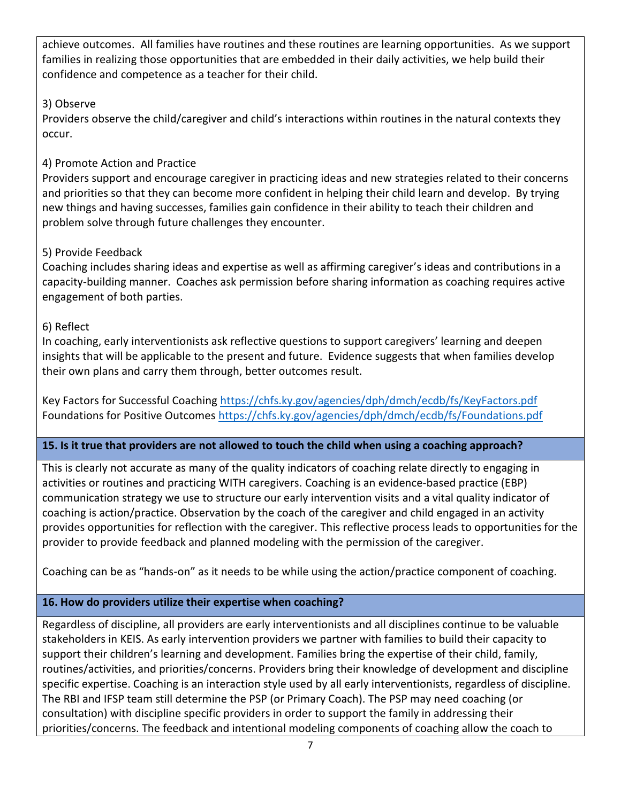achieve outcomes. All families have routines and these routines are learning opportunities. As we support families in realizing those opportunities that are embedded in their daily activities, we help build their confidence and competence as a teacher for their child.

# 3) Observe

Providers observe the child/caregiver and child's interactions within routines in the natural contexts they occur.

# 4) Promote Action and Practice

Providers support and encourage caregiver in practicing ideas and new strategies related to their concerns and priorities so that they can become more confident in helping their child learn and develop. By trying new things and having successes, families gain confidence in their ability to teach their children and problem solve through future challenges they encounter.

# 5) Provide Feedback

Coaching includes sharing ideas and expertise as well as affirming caregiver's ideas and contributions in a capacity-building manner. Coaches ask permission before sharing information as coaching requires active engagement of both parties.

# 6) Reflect

In coaching, early interventionists ask reflective questions to support caregivers' learning and deepen insights that will be applicable to the present and future. Evidence suggests that when families develop their own plans and carry them through, better outcomes result.

Key Factors for Successful Coaching<https://chfs.ky.gov/agencies/dph/dmch/ecdb/fs/KeyFactors.pdf> Foundations for Positive Outcomes<https://chfs.ky.gov/agencies/dph/dmch/ecdb/fs/Foundations.pdf>

# **15. Is it true that providers are not allowed to touch the child when using a coaching approach?**

This is clearly not accurate as many of the quality indicators of coaching relate directly to engaging in activities or routines and practicing WITH caregivers. Coaching is an evidence-based practice (EBP) communication strategy we use to structure our early intervention visits and a vital quality indicator of coaching is action/practice. Observation by the coach of the caregiver and child engaged in an activity provides opportunities for reflection with the caregiver. This reflective process leads to opportunities for the provider to provide feedback and planned modeling with the permission of the caregiver.

Coaching can be as "hands-on" as it needs to be while using the action/practice component of coaching.

# **16. How do providers utilize their expertise when coaching?**

Regardless of discipline, all providers are early interventionists and all disciplines continue to be valuable stakeholders in KEIS. As early intervention providers we partner with families to build their capacity to support their children's learning and development. Families bring the expertise of their child, family, routines/activities, and priorities/concerns. Providers bring their knowledge of development and discipline specific expertise. Coaching is an interaction style used by all early interventionists, regardless of discipline. The RBI and IFSP team still determine the PSP (or Primary Coach). The PSP may need coaching (or consultation) with discipline specific providers in order to support the family in addressing their priorities/concerns. The feedback and intentional modeling components of coaching allow the coach to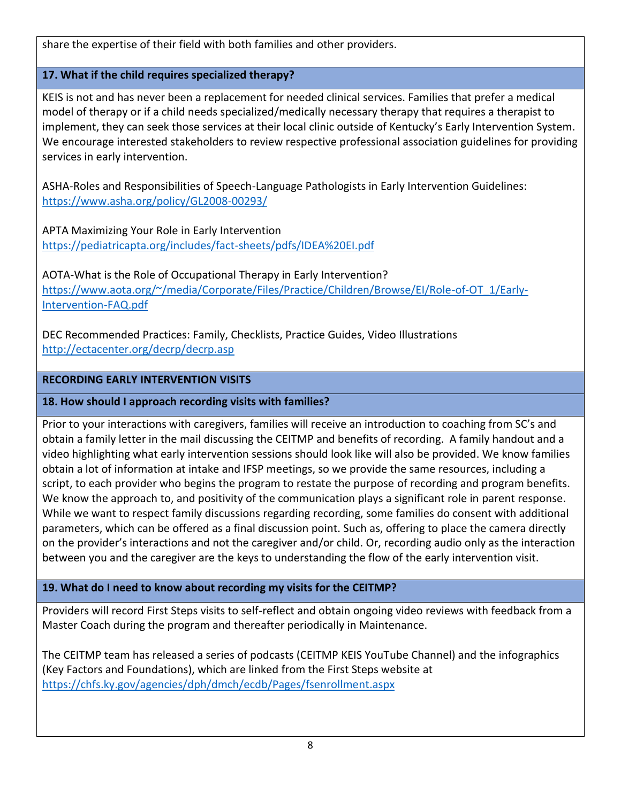share the expertise of their field with both families and other providers.

# **17. What if the child requires specialized therapy?**

KEIS is not and has never been a replacement for needed clinical services. Families that prefer a medical model of therapy or if a child needs specialized/medically necessary therapy that requires a therapist to implement, they can seek those services at their local clinic outside of Kentucky's Early Intervention System. We encourage interested stakeholders to review respective professional association guidelines for providing services in early intervention.

ASHA-Roles and Responsibilities of Speech-Language Pathologists in Early Intervention Guidelines: <https://www.asha.org/policy/GL2008-00293/>

APTA Maximizing Your Role in Early Intervention <https://pediatricapta.org/includes/fact-sheets/pdfs/IDEA%20EI.pdf>

AOTA-What is the Role of Occupational Therapy in Early Intervention? [https://www.aota.org/~/media/Corporate/Files/Practice/Children/Browse/EI/Role-of-OT\\_1/Early-](https://www.aota.org/~/media/Corporate/Files/Practice/Children/Browse/EI/Role-of-OT_1/Early-Intervention-FAQ.pdf)[Intervention-FAQ.pdf](https://www.aota.org/~/media/Corporate/Files/Practice/Children/Browse/EI/Role-of-OT_1/Early-Intervention-FAQ.pdf)

DEC Recommended Practices: Family, Checklists, Practice Guides, Video Illustrations <http://ectacenter.org/decrp/decrp.asp>

# **RECORDING EARLY INTERVENTION VISITS**

**18. How should I approach recording visits with families?** 

Prior to your interactions with caregivers, families will receive an introduction to coaching from SC's and obtain a family letter in the mail discussing the CEITMP and benefits of recording. A family handout and a video highlighting what early intervention sessions should look like will also be provided. We know families obtain a lot of information at intake and IFSP meetings, so we provide the same resources, including a script, to each provider who begins the program to restate the purpose of recording and program benefits. We know the approach to, and positivity of the communication plays a significant role in parent response. While we want to respect family discussions regarding recording, some families do consent with additional parameters, which can be offered as a final discussion point. Such as, offering to place the camera directly on the provider's interactions and not the caregiver and/or child. Or, recording audio only as the interaction between you and the caregiver are the keys to understanding the flow of the early intervention visit.

# **19. What do I need to know about recording my visits for the CEITMP?**

Providers will record First Steps visits to self-reflect and obtain ongoing video reviews with feedback from a Master Coach during the program and thereafter periodically in Maintenance.

The CEITMP team has released a series of podcasts (CEITMP KEIS YouTube Channel) and the infographics (Key Factors and Foundations), which are linked from the First Steps website at <https://chfs.ky.gov/agencies/dph/dmch/ecdb/Pages/fsenrollment.aspx>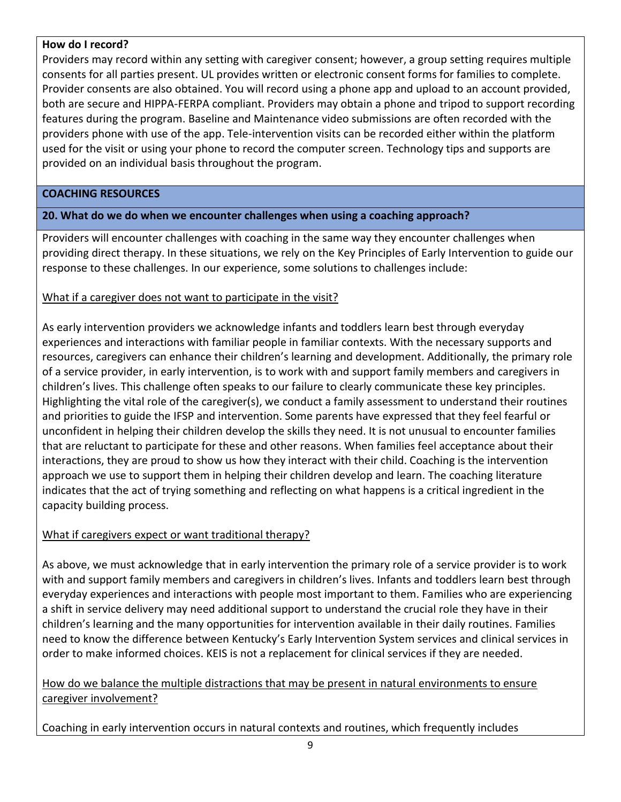#### **How do I record?**

Providers may record within any setting with caregiver consent; however, a group setting requires multiple consents for all parties present. UL provides written or electronic consent forms for families to complete. Provider consents are also obtained. You will record using a phone app and upload to an account provided, both are secure and HIPPA-FERPA compliant. Providers may obtain a phone and tripod to support recording features during the program. Baseline and Maintenance video submissions are often recorded with the providers phone with use of the app. Tele-intervention visits can be recorded either within the platform used for the visit or using your phone to record the computer screen. Technology tips and supports are provided on an individual basis throughout the program.

#### **COACHING RESOURCES**

## **20. What do we do when we encounter challenges when using a coaching approach?**

Providers will encounter challenges with coaching in the same way they encounter challenges when providing direct therapy. In these situations, we rely on the Key Principles of Early Intervention to guide our response to these challenges. In our experience, some solutions to challenges include:

# What if a caregiver does not want to participate in the visit?

As early intervention providers we acknowledge infants and toddlers learn best through everyday experiences and interactions with familiar people in familiar contexts. With the necessary supports and resources, caregivers can enhance their children's learning and development. Additionally, the primary role of a service provider, in early intervention, is to work with and support family members and caregivers in children's lives. This challenge often speaks to our failure to clearly communicate these key principles. Highlighting the vital role of the caregiver(s), we conduct a family assessment to understand their routines and priorities to guide the IFSP and intervention. Some parents have expressed that they feel fearful or unconfident in helping their children develop the skills they need. It is not unusual to encounter families that are reluctant to participate for these and other reasons. When families feel acceptance about their interactions, they are proud to show us how they interact with their child. Coaching is the intervention approach we use to support them in helping their children develop and learn. The coaching literature indicates that the act of trying something and reflecting on what happens is a critical ingredient in the capacity building process.

# What if caregivers expect or want traditional therapy?

As above, we must acknowledge that in early intervention the primary role of a service provider is to work with and support family members and caregivers in children's lives. Infants and toddlers learn best through everyday experiences and interactions with people most important to them. Families who are experiencing a shift in service delivery may need additional support to understand the crucial role they have in their children's learning and the many opportunities for intervention available in their daily routines. Families need to know the difference between Kentucky's Early Intervention System services and clinical services in order to make informed choices. KEIS is not a replacement for clinical services if they are needed.

## How do we balance the multiple distractions that may be present in natural environments to ensure caregiver involvement?

Coaching in early intervention occurs in natural contexts and routines, which frequently includes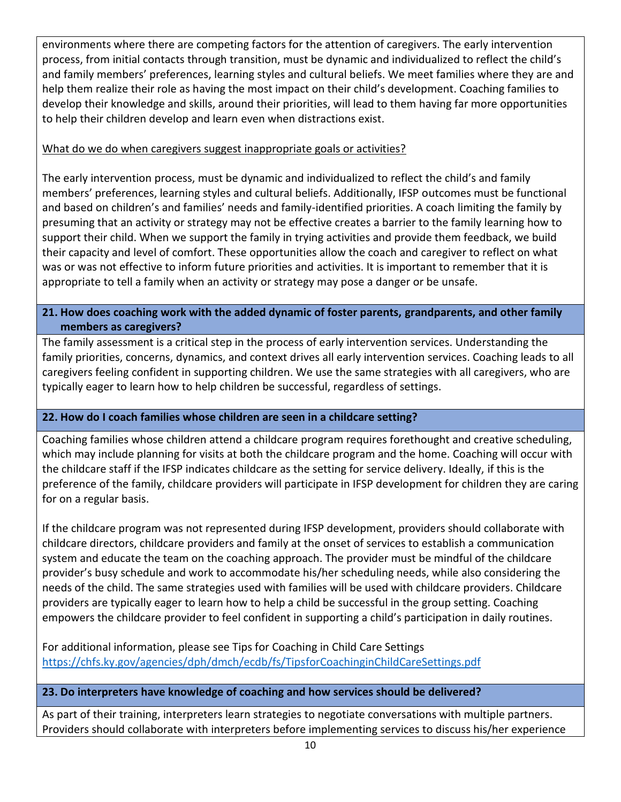environments where there are competing factors for the attention of caregivers. The early intervention process, from initial contacts through transition, must be dynamic and individualized to reflect the child's and family members' preferences, learning styles and cultural beliefs. We meet families where they are and help them realize their role as having the most impact on their child's development. Coaching families to develop their knowledge and skills, around their priorities, will lead to them having far more opportunities to help their children develop and learn even when distractions exist.

## What do we do when caregivers suggest inappropriate goals or activities?

The early intervention process, must be dynamic and individualized to reflect the child's and family members' preferences, learning styles and cultural beliefs. Additionally, IFSP outcomes must be functional and based on children's and families' needs and family-identified priorities. A coach limiting the family by presuming that an activity or strategy may not be effective creates a barrier to the family learning how to support their child. When we support the family in trying activities and provide them feedback, we build their capacity and level of comfort. These opportunities allow the coach and caregiver to reflect on what was or was not effective to inform future priorities and activities. It is important to remember that it is appropriate to tell a family when an activity or strategy may pose a danger or be unsafe.

# **21. How does coaching work with the added dynamic of foster parents, grandparents, and other family members as caregivers?**

The family assessment is a critical step in the process of early intervention services. Understanding the family priorities, concerns, dynamics, and context drives all early intervention services. Coaching leads to all caregivers feeling confident in supporting children. We use the same strategies with all caregivers, who are typically eager to learn how to help children be successful, regardless of settings.

# **22. How do I coach families whose children are seen in a childcare setting?**

Coaching families whose children attend a childcare program requires forethought and creative scheduling, which may include planning for visits at both the childcare program and the home. Coaching will occur with the childcare staff if the IFSP indicates childcare as the setting for service delivery. Ideally, if this is the preference of the family, childcare providers will participate in IFSP development for children they are caring for on a regular basis.

If the childcare program was not represented during IFSP development, providers should collaborate with childcare directors, childcare providers and family at the onset of services to establish a communication system and educate the team on the coaching approach. The provider must be mindful of the childcare provider's busy schedule and work to accommodate his/her scheduling needs, while also considering the needs of the child. The same strategies used with families will be used with childcare providers. Childcare providers are typically eager to learn how to help a child be successful in the group setting. Coaching empowers the childcare provider to feel confident in supporting a child's participation in daily routines.

For additional information, please see Tips for Coaching in Child Care Settings <https://chfs.ky.gov/agencies/dph/dmch/ecdb/fs/TipsforCoachinginChildCareSettings.pdf>

# **23. Do interpreters have knowledge of coaching and how services should be delivered?**

As part of their training, interpreters learn strategies to negotiate conversations with multiple partners. Providers should collaborate with interpreters before implementing services to discuss his/her experience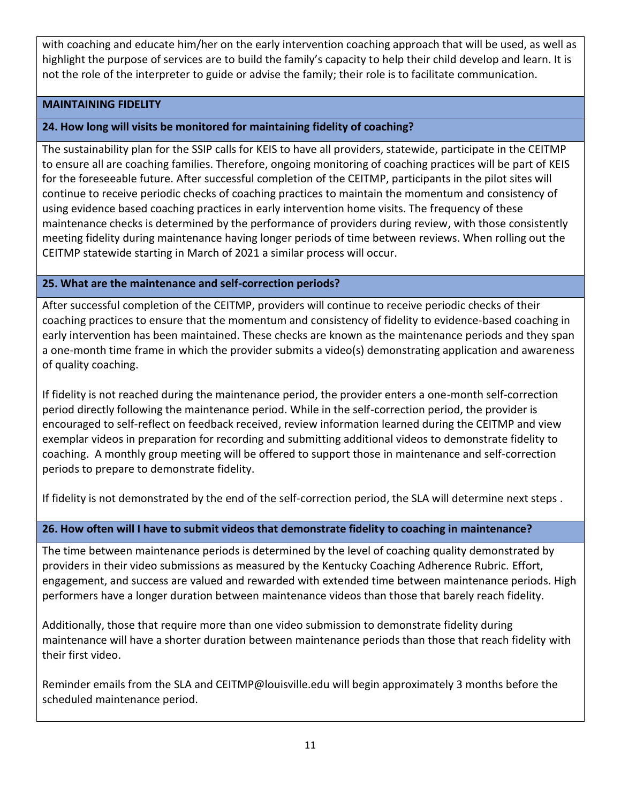with coaching and educate him/her on the early intervention coaching approach that will be used, as well as highlight the purpose of services are to build the family's capacity to help their child develop and learn. It is not the role of the interpreter to guide or advise the family; their role is to facilitate communication.

#### **MAINTAINING FIDELITY**

#### **24. How long will visits be monitored for maintaining fidelity of coaching?**

The sustainability plan for the SSIP calls for KEIS to have all providers, statewide, participate in the CEITMP to ensure all are coaching families. Therefore, ongoing monitoring of coaching practices will be part of KEIS for the foreseeable future. After successful completion of the CEITMP, participants in the pilot sites will continue to receive periodic checks of coaching practices to maintain the momentum and consistency of using evidence based coaching practices in early intervention home visits. The frequency of these maintenance checks is determined by the performance of providers during review, with those consistently meeting fidelity during maintenance having longer periods of time between reviews. When rolling out the CEITMP statewide starting in March of 2021 a similar process will occur.

#### **25. What are the maintenance and self-correction periods?**

After successful completion of the CEITMP, providers will continue to receive periodic checks of their coaching practices to ensure that the momentum and consistency of fidelity to evidence-based coaching in early intervention has been maintained. These checks are known as the maintenance periods and they span a one-month time frame in which the provider submits a video(s) demonstrating application and awareness of quality coaching.

If fidelity is not reached during the maintenance period, the provider enters a one-month self-correction period directly following the maintenance period. While in the self-correction period, the provider is encouraged to self-reflect on feedback received, review information learned during the CEITMP and view exemplar videos in preparation for recording and submitting additional videos to demonstrate fidelity to coaching. A monthly group meeting will be offered to support those in maintenance and self-correction periods to prepare to demonstrate fidelity.

If fidelity is not demonstrated by the end of the self-correction period, the SLA will determine next steps .

#### **26. How often will I have to submit videos that demonstrate fidelity to coaching in maintenance?**

The time between maintenance periods is determined by the level of coaching quality demonstrated by providers in their video submissions as measured by the Kentucky Coaching Adherence Rubric. Effort, engagement, and success are valued and rewarded with extended time between maintenance periods. High performers have a longer duration between maintenance videos than those that barely reach fidelity.

Additionally, those that require more than one video submission to demonstrate fidelity during maintenance will have a shorter duration between maintenance periods than those that reach fidelity with their first video.

Reminder emails from the SLA and CEITMP@louisville.edu will begin approximately 3 months before the scheduled maintenance period.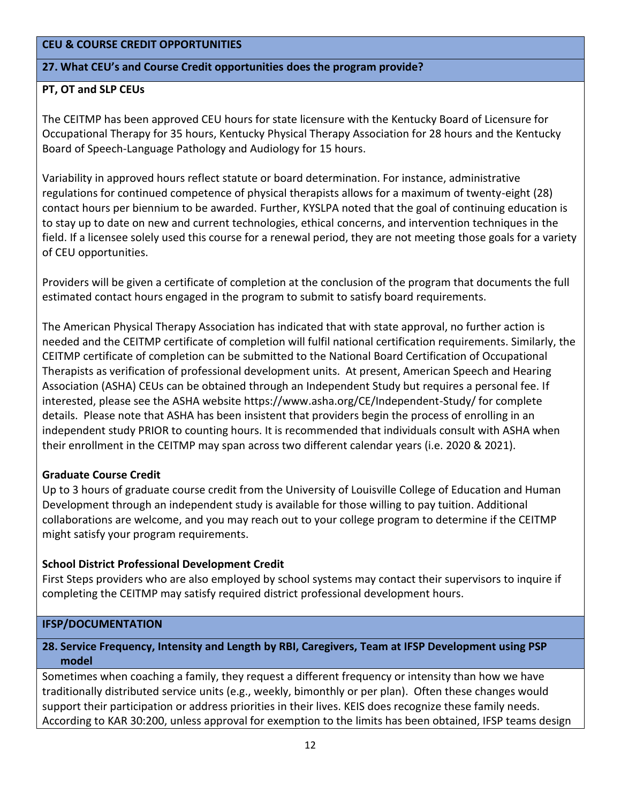#### **CEU & COURSE CREDIT OPPORTUNITIES**

#### **27. What CEU's and Course Credit opportunities does the program provide?**

#### **PT, OT and SLP CEUs**

The CEITMP has been approved CEU hours for state licensure with the Kentucky Board of Licensure for Occupational Therapy for 35 hours, Kentucky Physical Therapy Association for 28 hours and the Kentucky Board of Speech-Language Pathology and Audiology for 15 hours.

Variability in approved hours reflect statute or board determination. For instance, administrative regulations for continued competence of physical therapists allows for a maximum of twenty-eight (28) contact hours per biennium to be awarded. Further, KYSLPA noted that the goal of continuing education is to stay up to date on new and current technologies, ethical concerns, and intervention techniques in the field. If a licensee solely used this course for a renewal period, they are not meeting those goals for a variety of CEU opportunities.

Providers will be given a certificate of completion at the conclusion of the program that documents the full estimated contact hours engaged in the program to submit to satisfy board requirements.

The American Physical Therapy Association has indicated that with state approval, no further action is needed and the CEITMP certificate of completion will fulfil national certification requirements. Similarly, the CEITMP certificate of completion can be submitted to the National Board Certification of Occupational Therapists as verification of professional development units. At present, American Speech and Hearing Association (ASHA) CEUs can be obtained through an Independent Study but requires a personal fee. If interested, please see the ASHA website https://www.asha.org/CE/Independent-Study/ for complete details. Please note that ASHA has been insistent that providers begin the process of enrolling in an independent study PRIOR to counting hours. It is recommended that individuals consult with ASHA when their enrollment in the CEITMP may span across two different calendar years (i.e. 2020 & 2021).

#### **Graduate Course Credit**

Up to 3 hours of graduate course credit from the University of Louisville College of Education and Human Development through an independent study is available for those willing to pay tuition. Additional collaborations are welcome, and you may reach out to your college program to determine if the CEITMP might satisfy your program requirements.

#### **School District Professional Development Credit**

First Steps providers who are also employed by school systems may contact their supervisors to inquire if completing the CEITMP may satisfy required district professional development hours.

#### **IFSP/DOCUMENTATION**

#### **28. Service Frequency, Intensity and Length by RBI, Caregivers, Team at IFSP Development using PSP model**

Sometimes when coaching a family, they request a different frequency or intensity than how we have traditionally distributed service units (e.g., weekly, bimonthly or per plan). Often these changes would support their participation or address priorities in their lives. KEIS does recognize these family needs. According to KAR 30:200, unless approval for exemption to the limits has been obtained, IFSP teams design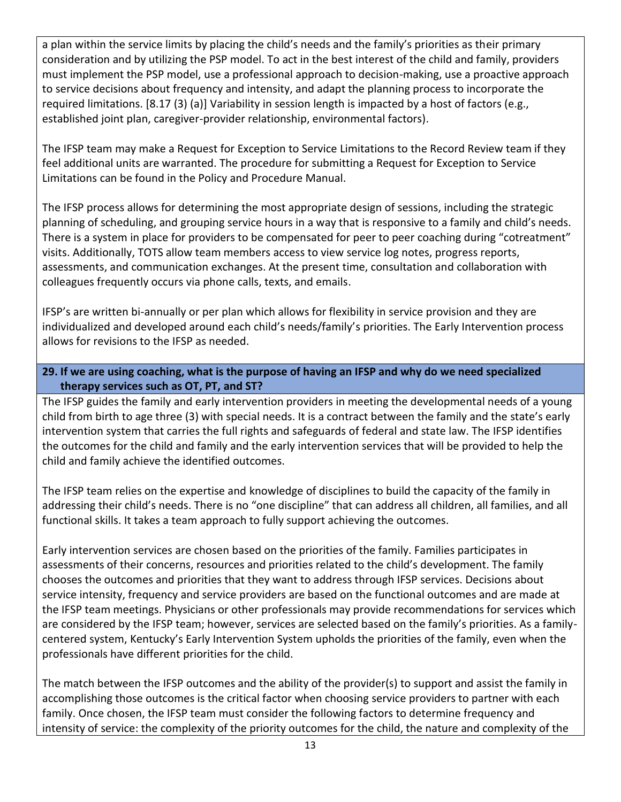a plan within the service limits by placing the child's needs and the family's priorities as their primary consideration and by utilizing the PSP model. To act in the best interest of the child and family, providers must implement the PSP model, use a professional approach to decision-making, use a proactive approach to service decisions about frequency and intensity, and adapt the planning process to incorporate the required limitations. [8.17 (3) (a)] Variability in session length is impacted by a host of factors (e.g., established joint plan, caregiver-provider relationship, environmental factors).

The IFSP team may make a Request for Exception to Service Limitations to the Record Review team if they feel additional units are warranted. The procedure for submitting a Request for Exception to Service Limitations can be found in the Policy and Procedure Manual.

The IFSP process allows for determining the most appropriate design of sessions, including the strategic planning of scheduling, and grouping service hours in a way that is responsive to a family and child's needs. There is a system in place for providers to be compensated for peer to peer coaching during "cotreatment" visits. Additionally, TOTS allow team members access to view service log notes, progress reports, assessments, and communication exchanges. At the present time, consultation and collaboration with colleagues frequently occurs via phone calls, texts, and emails.

IFSP's are written bi-annually or per plan which allows for flexibility in service provision and they are individualized and developed around each child's needs/family's priorities. The Early Intervention process allows for revisions to the IFSP as needed.

## **29. If we are using coaching, what is the purpose of having an IFSP and why do we need specialized therapy services such as OT, PT, and ST?**

The IFSP guides the family and early intervention providers in meeting the developmental needs of a young child from birth to age three (3) with special needs. It is a contract between the family and the state's early intervention system that carries the full rights and safeguards of federal and state law. The IFSP identifies the outcomes for the child and family and the early intervention services that will be provided to help the child and family achieve the identified outcomes.

The IFSP team relies on the expertise and knowledge of disciplines to build the capacity of the family in addressing their child's needs. There is no "one discipline" that can address all children, all families, and all functional skills. It takes a team approach to fully support achieving the outcomes.

Early intervention services are chosen based on the priorities of the family. Families participates in assessments of their concerns, resources and priorities related to the child's development. The family chooses the outcomes and priorities that they want to address through IFSP services. Decisions about service intensity, frequency and service providers are based on the functional outcomes and are made at the IFSP team meetings. Physicians or other professionals may provide recommendations for services which are considered by the IFSP team; however, services are selected based on the family's priorities. As a familycentered system, Kentucky's Early Intervention System upholds the priorities of the family, even when the professionals have different priorities for the child.

The match between the IFSP outcomes and the ability of the provider(s) to support and assist the family in accomplishing those outcomes is the critical factor when choosing service providers to partner with each family. Once chosen, the IFSP team must consider the following factors to determine frequency and intensity of service: the complexity of the priority outcomes for the child, the nature and complexity of the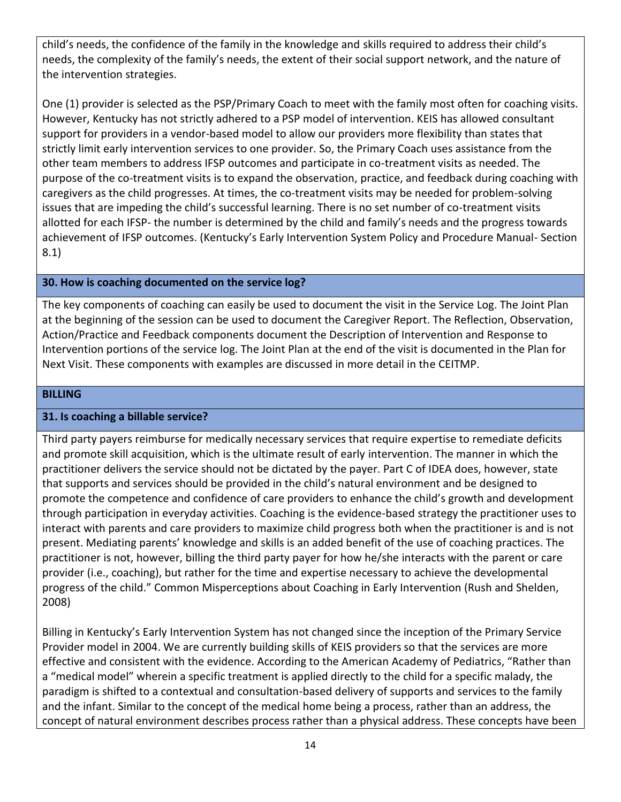child's needs, the confidence of the family in the knowledge and skills required to address their child's needs, the complexity of the family's needs, the extent of their social support network, and the nature of the intervention strategies.

One (1) provider is selected as the PSP/Primary Coach to meet with the family most often for coaching visits. However, Kentucky has not strictly adhered to a PSP model of intervention. KEIS has allowed consultant support for providers in a vendor-based model to allow our providers more flexibility than states that strictly limit early intervention services to one provider. So, the Primary Coach uses assistance from the other team members to address IFSP outcomes and participate in co-treatment visits as needed. The purpose of the co-treatment visits is to expand the observation, practice, and feedback during coaching with caregivers as the child progresses. At times, the co-treatment visits may be needed for problem-solving issues that are impeding the child's successful learning. There is no set number of co-treatment visits allotted for each IFSP- the number is determined by the child and family's needs and the progress towards achievement of IFSP outcomes. (Kentucky's Early Intervention System Policy and Procedure Manual- Section 8.1)

#### **30. How is coaching documented on the service log?**

The key components of coaching can easily be used to document the visit in the Service Log. The Joint Plan at the beginning of the session can be used to document the Caregiver Report. The Reflection, Observation, Action/Practice and Feedback components document the Description of Intervention and Response to Intervention portions of the service log. The Joint Plan at the end of the visit is documented in the Plan for Next Visit. These components with examples are discussed in more detail in the CEITMP.

#### **BILLING**

#### **31. Is coaching a billable service?**

Third party payers reimburse for medically necessary services that require expertise to remediate deficits and promote skill acquisition, which is the ultimate result of early intervention. The manner in which the practitioner delivers the service should not be dictated by the payer. Part C of IDEA does, however, state that supports and services should be provided in the child's natural environment and be designed to promote the competence and confidence of care providers to enhance the child's growth and development through participation in everyday activities. Coaching is the evidence-based strategy the practitioner uses to interact with parents and care providers to maximize child progress both when the practitioner is and is not present. Mediating parents' knowledge and skills is an added benefit of the use of coaching practices. The practitioner is not, however, billing the third party payer for how he/she interacts with the parent or care provider (i.e., coaching), but rather for the time and expertise necessary to achieve the developmental progress of the child." Common Misperceptions about Coaching in Early Intervention (Rush and Shelden, 2008)

Billing in Kentucky's Early Intervention System has not changed since the inception of the Primary Service Provider model in 2004. We are currently building skills of KEIS providers so that the services are more effective and consistent with the evidence. According to the American Academy of Pediatrics, "Rather than a "medical model" wherein a specific treatment is applied directly to the child for a specific malady, the paradigm is shifted to a contextual and consultation-based delivery of supports and services to the family and the infant. Similar to the concept of the medical home being a process, rather than an address, the concept of natural environment describes process rather than a physical address. These concepts have been